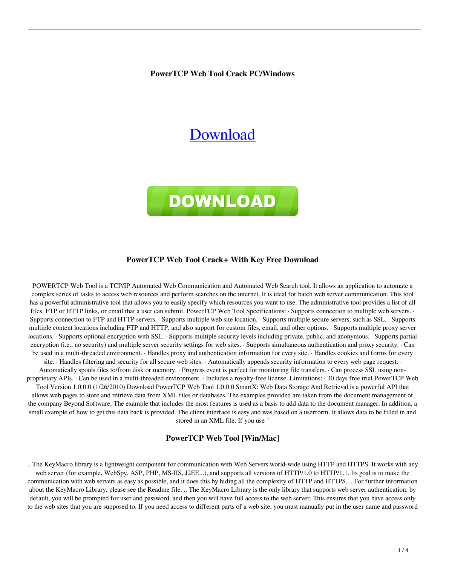**PowerTCP Web Tool Crack PC/Windows**

# [Download](http://evacdir.com/filefish/?groundhogs=horselaugh.narsad&pahrump=eagon.UG93ZXJUQ1AgV2ViIFRvb2wUG9.ZG93bmxvYWR8VXY3TkhObU0zeDhNVFkxTkRVeU1qRXhNSHg4TWpVNU1IeDhLRTBwSUZkdmNtUndjbVZ6Y3lCYldFMU1VbEJESUZZeUlGQkVSbDA)



#### **PowerTCP Web Tool Crack+ With Key Free Download**

POWERTCP Web Tool is a TCP/IP Automated Web Communication and Automated Web Search tool. It allows an application to automate a complex series of tasks to access web resources and perform searches on the internet. It is ideal for batch web server communication. This tool has a powerful administrative tool that allows you to easily specify which resources you want to use. The administrative tool provides a list of all files, FTP or HTTP links, or email that a user can submit. PowerTCP Web Tool Specifications: · Supports connection to multiple web servers. · Supports connection to FTP and HTTP servers. · Supports multiple web site location. · Supports multiple secure servers, such as SSL. · Supports multiple content locations including FTP and HTTP, and also support for custom files, email, and other options. · Supports multiple proxy server locations. · Supports optional encryption with SSL. · Supports multiple security levels including private, public, and anonymous. · Supports partial encryption (i.e., no security) and multiple server security settings for web sites. · Supports simultaneous authentication and proxy security. · Can be used in a multi-threaded environment. · Handles proxy and authentication information for every site. · Handles cookies and forms for every site. · Handles filtering and security for all secure web sites. · Automatically appends security information to every web page request. ·

Automatically spools files to/from disk or memory. · Progress event is perfect for monitoring file transfers. · Can process SSL using nonproprietary APIs. · Can be used in a multi-threaded environment. · Includes a royalty-free license. Limitations: · 30 days free trial PowerTCP Web Tool Version 1.0.0.0 (1/26/2010) Download PowerTCP Web Tool 1.0.0.0 SmartX: Web Data Storage And Retrieval is a powerful API that allows web pages to store and retrieve data from XML files or databases. The examples provided are taken from the document management of

the company Beyond Software. The example that includes the most features is used as a basis to add data to the document manager. In addition, a small example of how to get this data back is provided. The client interface is easy and was based on a userform. It allows data to be filled in and stored in an XML file. If you use "

#### **PowerTCP Web Tool [Win/Mac]**

.. The KeyMacro library is a lightweight component for communication with Web Servers world-wide using HTTP and HTTPS. It works with any web server (for example, WebSpy, ASP, PHP, MS-IIS, J2EE...), and supports all versions of HTTP/1.0 to HTTP/1.1. Its goal is to make the communication with web servers as easy as possible, and it does this by hiding all the complexity of HTTP and HTTPS. .. For further information about the KeyMacro Library, please see the Readme file. .. The KeyMacro Library is the only library that supports web server authentication: by default, you will be prompted for user and password, and then you will have full access to the web server. This ensures that you have access only to the web sites that you are supposed to. If you need access to different parts of a web site, you must manually put in the user name and password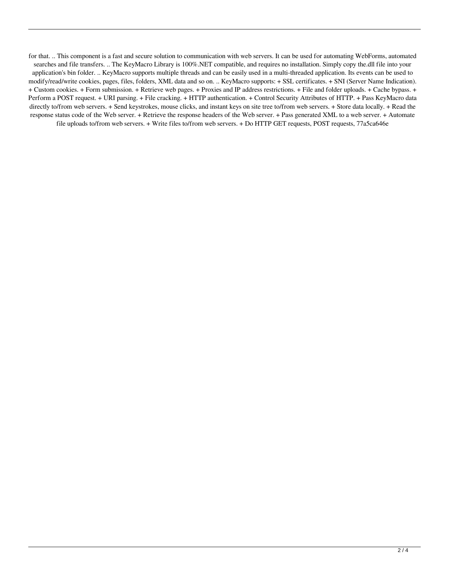for that. .. This component is a fast and secure solution to communication with web servers. It can be used for automating WebForms, automated searches and file transfers. .. The KeyMacro Library is 100%.NET compatible, and requires no installation. Simply copy the.dll file into your application's bin folder. .. KeyMacro supports multiple threads and can be easily used in a multi-threaded application. Its events can be used to modify/read/write cookies, pages, files, folders, XML data and so on. .. KeyMacro supports: + SSL certificates. + SNI (Server Name Indication). + Custom cookies. + Form submission. + Retrieve web pages. + Proxies and IP address restrictions. + File and folder uploads. + Cache bypass. + Perform a POST request. + URI parsing. + File cracking. + HTTP authentication. + Control Security Attributes of HTTP. + Pass KeyMacro data directly to/from web servers. + Send keystrokes, mouse clicks, and instant keys on site tree to/from web servers. + Store data locally. + Read the response status code of the Web server. + Retrieve the response headers of the Web server. + Pass generated XML to a web server. + Automate file uploads to/from web servers. + Write files to/from web servers. + Do HTTP GET requests, POST requests, 77a5ca646e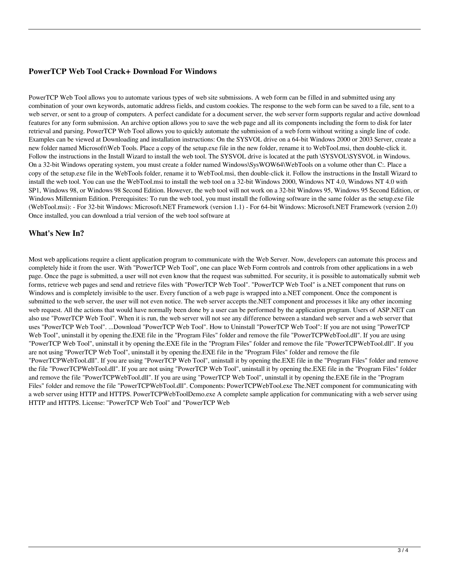#### **PowerTCP Web Tool Crack+ Download For Windows**

PowerTCP Web Tool allows you to automate various types of web site submissions. A web form can be filled in and submitted using any combination of your own keywords, automatic address fields, and custom cookies. The response to the web form can be saved to a file, sent to a web server, or sent to a group of computers. A perfect candidate for a document server, the web server form supports regular and active download features for any form submission. An archive option allows you to save the web page and all its components including the form to disk for later retrieval and parsing. PowerTCP Web Tool allows you to quickly automate the submission of a web form without writing a single line of code. Examples can be viewed at Downloading and installation instructions: On the SYSVOL drive on a 64-bit Windows 2000 or 2003 Server, create a new folder named Microsoft\Web Tools. Place a copy of the setup.exe file in the new folder, rename it to WebTool.msi, then double-click it. Follow the instructions in the Install Wizard to install the web tool. The SYSVOL drive is located at the path \SYSVOL\SYSVOL in Windows. On a 32-bit Windows operating system, you must create a folder named Windows\SysWOW64\WebTools on a volume other than C:. Place a copy of the setup.exe file in the WebTools folder, rename it to WebTool.msi, then double-click it. Follow the instructions in the Install Wizard to install the web tool. You can use the WebTool.msi to install the web tool on a 32-bit Windows 2000, Windows NT 4.0, Windows NT 4.0 with SP1, Windows 98, or Windows 98 Second Edition. However, the web tool will not work on a 32-bit Windows 95, Windows 95 Second Edition, or Windows Millennium Edition. Prerequisites: To run the web tool, you must install the following software in the same folder as the setup.exe file (WebTool.msi): - For 32-bit Windows: Microsoft.NET Framework (version 1.1) - For 64-bit Windows: Microsoft.NET Framework (version 2.0) Once installed, you can download a trial version of the web tool software at

### **What's New In?**

Most web applications require a client application program to communicate with the Web Server. Now, developers can automate this process and completely hide it from the user. With "PowerTCP Web Tool", one can place Web Form controls and controls from other applications in a web page. Once the page is submitted, a user will not even know that the request was submitted. For security, it is possible to automatically submit web forms, retrieve web pages and send and retrieve files with "PowerTCP Web Tool". "PowerTCP Web Tool" is a.NET component that runs on Windows and is completely invisible to the user. Every function of a web page is wrapped into a.NET component. Once the component is submitted to the web server, the user will not even notice. The web server accepts the.NET component and processes it like any other incoming web request. All the actions that would have normally been done by a user can be performed by the application program. Users of ASP.NET can also use "PowerTCP Web Tool". When it is run, the web server will not see any difference between a standard web server and a web server that uses "PowerTCP Web Tool". ...Download "PowerTCP Web Tool". How to Uninstall "PowerTCP Web Tool": If you are not using "PowerTCP Web Tool", uninstall it by opening the.EXE file in the "Program Files" folder and remove the file "PowerTCPWebTool.dll". If you are using "PowerTCP Web Tool", uninstall it by opening the.EXE file in the "Program Files" folder and remove the file "PowerTCPWebTool.dll". If you are not using "PowerTCP Web Tool", uninstall it by opening the.EXE file in the "Program Files" folder and remove the file "PowerTCPWebTool.dll". If you are using "PowerTCP Web Tool", uninstall it by opening the.EXE file in the "Program Files" folder and remove the file "PowerTCPWebTool.dll". If you are not using "PowerTCP Web Tool", uninstall it by opening the.EXE file in the "Program Files" folder and remove the file "PowerTCPWebTool.dll". If you are using "PowerTCP Web Tool", uninstall it by opening the.EXE file in the "Program Files" folder and remove the file "PowerTCPWebTool.dll". Components: PowerTCPWebTool.exe The.NET component for communicating with a web server using HTTP and HTTPS. PowerTCPWebToolDemo.exe A complete sample application for communicating with a web server using HTTP and HTTPS. License: "PowerTCP Web Tool" and "PowerTCP Web